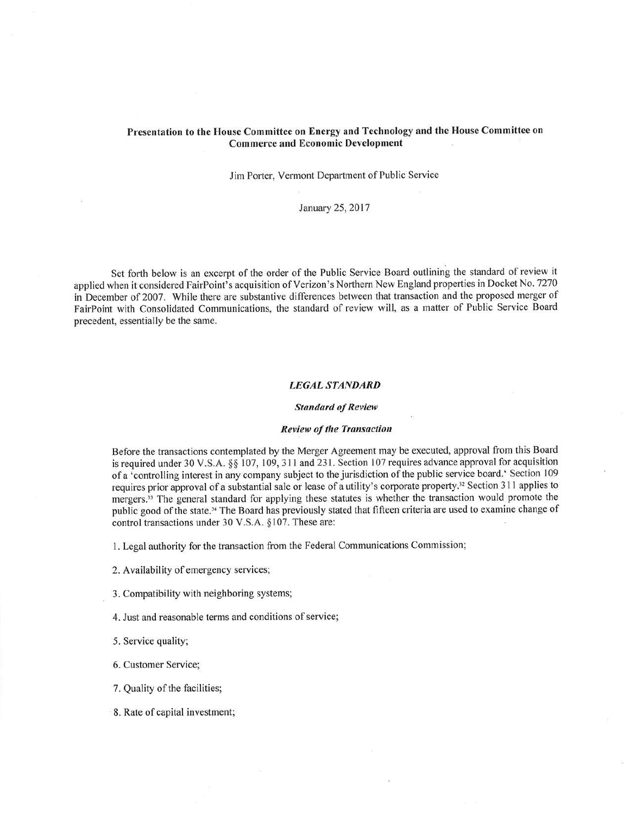# Presentation to the House Committee on Energy and Technology and the House Committee on Commerce and Economic Development

## Jim Porter, Vermont Department of Public Service

January 25,2017

Set forth below is an excerpt of the order of the Public Service Board outlining the standard of review it applied when it considered FairPoint's acquisition of Verizon's Northern New England properties in Docket No. <sup>7270</sup> in becember of 2007. While there are substantive differences between that transaction and the proposed merger of FairPoint with Consotidated Communications, the standard of review will, as a matter of Public Service Board precedent, essentially be the same.

## LEGAL STANDARD

#### **Standard of Review**

## Review of the Transaction

Before the transactions contemplated by the Merger Agreement may be executed, approval from this Board is required under 30 V.S.A. §§ 107, 109, 311 and 231. Section 107 requires advance approval for acquisition of a 'controlling interest in any company subject to the jurisdiction of the public service board.' Section 109 requires prior approval of a substantial sale or lease of a utility's corporate property.<sup>32</sup> Section 311 applies to mergers.<sup>33</sup> The general standard for applying these statutes is whether the transaction would promote the public good of the state.<sup>34</sup> The Board has previously stated that fifteen criteria are used to examine change of control transactions under 30 V.S.A. §107. These are:

l. Legal authority for the transaction from the Federal Communications Commission;

- 2. Availability of emergency services;
- 3. Compatibility with neighboring systems;
- 4. Just and reasonable terms and conditions of service;

5. Service quality;

6. Customer Service;

7. Quality of the facilities;

8. Rate of capital investment;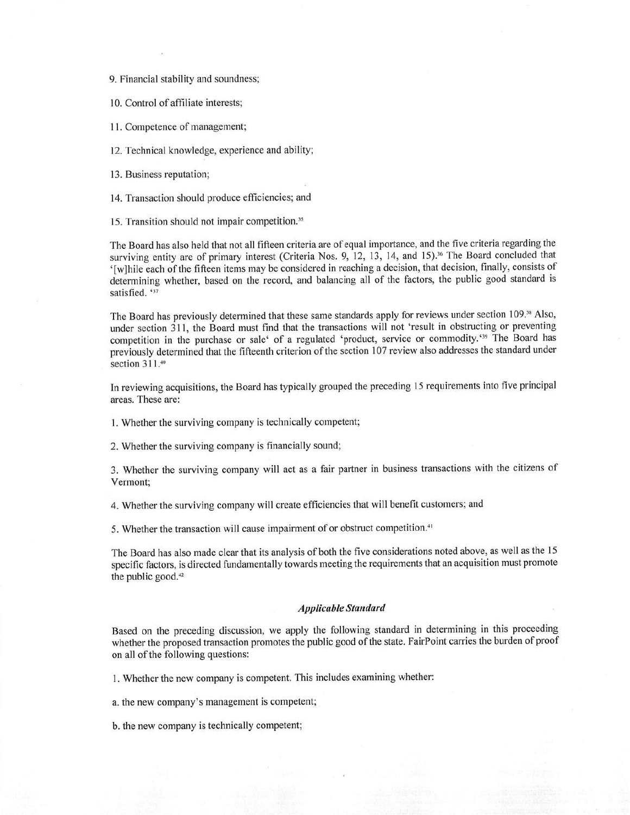9. Financial stability and soundness;

10. Control of affiliate interests;

<sup>I</sup>l. Competence of management;

12. Technical knowledge, experience and ability;

<sup>I</sup>3. Business reputation;

14. Transaction should produce efficiencies; and

15. Transition should not impair competition.<sup>35</sup>

The Board has also held that not all fifteen criteria are of equal importance, and the five criteria regarding the surviving entity are of primary interest (Criteria Nos. 9, 12, 13, 14, and 15).<sup>36</sup> The Board concluded that '[w]hile each of the fifteen items may be considered in reaching a decision, that decision, finally, consists of determining whether, based on the record, and balancing all of the factors, the public good standard is satisfied. '37

The Board has previously determined that these same standards apply for reviews under section 109.<sup>38</sup> Also, under section 311, the Board must find that the transactions will not 'result in obstructing or preventing competition in the purchase or sale' of a regulated 'product, service or commodity.'<sup>39</sup> The Board has previously determined that the fifteenth criterion of the section 107 review also addresses the standard under section  $311.^{40}$ 

In reviewing acquisitions, the Board has typically grouped the preceding l5 requirements into five principal areas. These are:

l. Whether the surviving company is technically competent;

2. Whether the surviving company is financially sound;

3. Whether the surviving company will act as a fair partner in business transactions with the citizens of Vermont;

4. Whether the surviving company will create efficiencies that will benefit customers; and

5. Whether the transaction will cause impairment of or obstruct competition.<sup>41</sup>

The Board has also made clear that its analysis of both the five considerations noted above, as well as the I <sup>5</sup> specific factors, is directed fundamentally towards meeting the requirements that an acquisition must promote the public good. $42$ 

### Applícable Støndord

Based on the preceding discussion, we apply the following standard in determining in this proceeding whether the proposed transaction promotes the public good of the state. FairPoint carries the burden of proof on all of the following questions:

1. Whether the new company is competent. This includes examining whether:

a. the new company's management is competent;

b. the new company is technically competent;